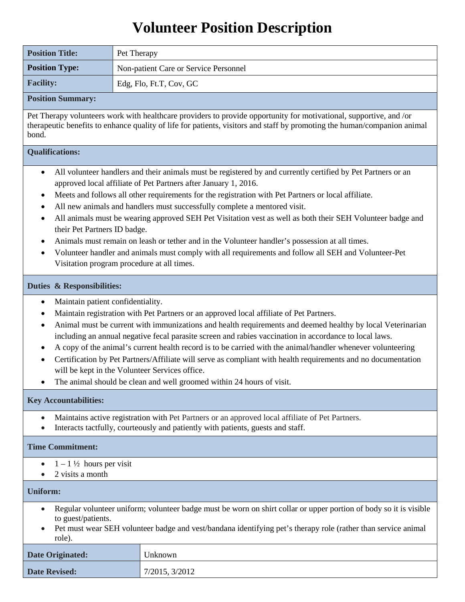# **Volunteer Position Description**

| <b>Position Title:</b>   | Pet Therapy                           |  |
|--------------------------|---------------------------------------|--|
| <b>Position Type:</b>    | Non-patient Care or Service Personnel |  |
| <b>Facility:</b>         | Edg, Flo, Ft.T, Cov, GC               |  |
| <b>Position Summary:</b> |                                       |  |

Pet Therapy volunteers work with healthcare providers to provide opportunity for motivational, supportive, and /or therapeutic benefits to enhance quality of life for patients, visitors and staff by promoting the human/companion animal bond.

## **Qualifications:**

- All volunteer handlers and their animals must be registered by and currently certified by Pet Partners or an approved local affiliate of Pet Partners after January 1, 2016.
- Meets and follows all other requirements for the registration with Pet Partners or local affiliate.
- All new animals and handlers must successfully complete a mentored visit.
- All animals must be wearing approved SEH Pet Visitation vest as well as both their SEH Volunteer badge and their Pet Partners ID badge.
- Animals must remain on leash or tether and in the Volunteer handler's possession at all times.
- Volunteer handler and animals must comply with all requirements and follow all SEH and Volunteer-Pet Visitation program procedure at all times.

### **Duties & Responsibilities:**

- Maintain patient confidentiality.
- Maintain registration with Pet Partners or an approved local affiliate of Pet Partners.
- Animal must be current with immunizations and health requirements and deemed healthy by local Veterinarian including an annual negative fecal parasite screen and rabies vaccination in accordance to local laws.
- A copy of the animal's current health record is to be carried with the animal/handler whenever volunteering
- Certification by Pet Partners/Affiliate will serve as compliant with health requirements and no documentation will be kept in the Volunteer Services office.
- The animal should be clean and well groomed within 24 hours of visit.

# **Key Accountabilities:**

- Maintains active registration with Pet Partners or an approved local affiliate of Pet Partners.
- Interacts tactfully, courteously and patiently with patients, guests and staff.

#### **Time Commitment:**

- $1 1\frac{1}{2}$  hours per visit
- 2 visits a month

# **Uniform:**

- Regular volunteer uniform; volunteer badge must be worn on shirt collar or upper portion of body so it is visible to guest/patients.
- Pet must wear SEH volunteer badge and vest/bandana identifying pet's therapy role (rather than service animal role).

| <b>Date Originated:</b> | Unknown        |
|-------------------------|----------------|
| <b>Date Revised:</b>    | 7/2015, 3/2012 |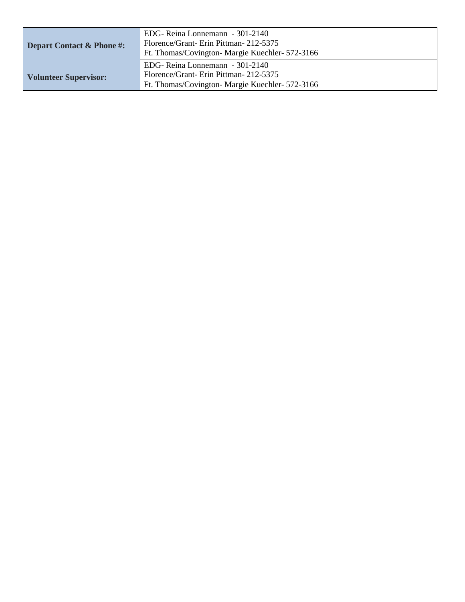| Depart Contact & Phone #:    | EDG-Reina Lonnemann - 301-2140<br>Florence/Grant-Erin Pittman-212-5375<br>Ft. Thomas/Covington-Margie Kuechler- 572-3166  |  |  |
|------------------------------|---------------------------------------------------------------------------------------------------------------------------|--|--|
| <b>Volunteer Supervisor:</b> | EDG-Reina Lonnemann - 301-2140<br>Florence/Grant-Erin Pittman-212-5375<br>Ft. Thomas/Covington- Margie Kuechler- 572-3166 |  |  |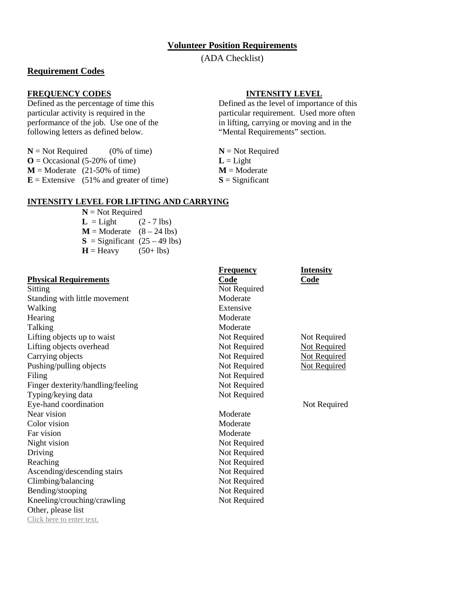#### **Volunteer Position Requirements**

(ADA Checklist)

# **Requirement Codes**

### **FREQUENCY CODES INTENSITY LEVEL**

following letters as defined below.

 $N = Not Required$  (0% of time)  $N = Not Required$  $\mathbf{O} = \text{Occational}$  (5-20% of time)  $\mathbf{L} = \text{Light}$ **M** = Moderate (21-50% of time) **M** = Moderate **E** = Extensive (51% and greater of time) **S** = Significant  $\mathbf{E} =$  Extensive (51% and greater of time)

Defined as the percentage of time this Defined as the level of importance of this particular activity is required in the particular requirement. Used more often<br>performance of the job. Use one of the in lifting, carrying or moving and in the in lifting, carrying or moving and in the "Mental Requirements" section.

# **INTENSITY LEVEL FOR LIFTING AND CARRYING**

**N** = Not Required  $L = Light$  (2 - 7 lbs)  $M = \text{Modern}$  (8 – 24 lbs)  $S =$  Significant  $(25 – 49$  lbs)  $H =$  Heavy (50+ lbs)

| <b>Physical Requirements</b> |
|------------------------------|
|------------------------------|

| <b>Frequency</b> | <b>Intensity</b>    |
|------------------|---------------------|
| Code             | Code                |
| Not Required     |                     |
| Moderate         |                     |
| Extensive        |                     |
| Moderate         |                     |
| Moderate         |                     |
| Not Required     | Not Required        |
| Not Required     | <b>Not Required</b> |
| Not Required     | <b>Not Required</b> |
| Not Required     | <b>Not Required</b> |
| Not Required     |                     |
| Not Required     |                     |
| Not Required     |                     |
|                  | Not Required        |
| Moderate         |                     |
| Moderate         |                     |
| Moderate         |                     |
| Not Required     |                     |
| Not Required     |                     |
| Not Required     |                     |
| Not Required     |                     |
| Not Required     |                     |
| Not Required     |                     |
| Not Required     |                     |
|                  |                     |
|                  |                     |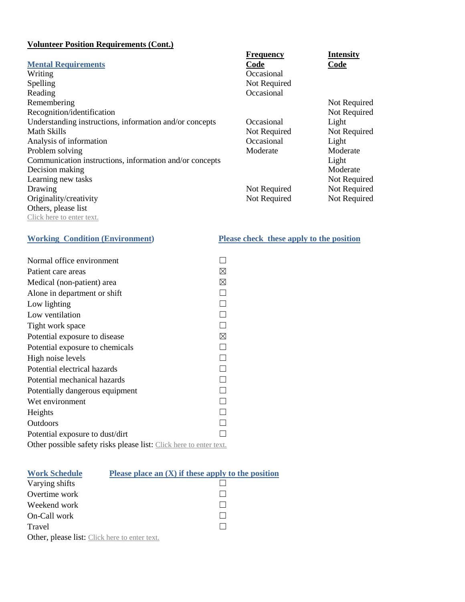# **Volunteer Position Requirements (Cont.)**

|                                                         | Frequency    | <b>Intensity</b> |
|---------------------------------------------------------|--------------|------------------|
| <b>Mental Requirements</b>                              | Code         | Code             |
| Writing                                                 | Occasional   |                  |
| Spelling                                                | Not Required |                  |
| Reading                                                 | Occasional   |                  |
| Remembering                                             |              | Not Required     |
| Recognition/identification                              |              | Not Required     |
| Understanding instructions, information and/or concepts | Occasional   | Light            |
| <b>Math Skills</b>                                      | Not Required | Not Required     |
| Analysis of information                                 | Occasional   | Light            |
| Problem solving                                         | Moderate     | Moderate         |
| Communication instructions, information and/or concepts |              | Light            |
| Decision making                                         |              | Moderate         |
| Learning new tasks                                      |              | Not Required     |
| Drawing                                                 | Not Required | Not Required     |
| Originality/creativity                                  | Not Required | Not Required     |
| Others, please list                                     |              |                  |
| Click here to enter text.                               |              |                  |

| Normal office environment                                          |             |  |
|--------------------------------------------------------------------|-------------|--|
| Patient care areas                                                 | ⊠           |  |
| Medical (non-patient) area                                         | ⊠           |  |
| Alone in department or shift                                       | Ç,          |  |
| Low lighting                                                       | П           |  |
| Low ventilation                                                    | П           |  |
| Tight work space                                                   | $\Box$      |  |
| Potential exposure to disease                                      | $\boxtimes$ |  |
| Potential exposure to chemicals                                    | П           |  |
| High noise levels                                                  | П           |  |
| Potential electrical hazards                                       | П           |  |
| Potential mechanical hazards                                       | $\Box$      |  |
| Potentially dangerous equipment                                    | П           |  |
| Wet environment                                                    | П           |  |
| Heights                                                            | П           |  |
| Outdoors                                                           |             |  |
| Potential exposure to dust/dirt                                    |             |  |
| Other possible safety risks please list: Click here to enter text. |             |  |

| <b>Work Schedule</b>                          | Please place an $(X)$ if these apply to the position |
|-----------------------------------------------|------------------------------------------------------|
| Varying shifts                                |                                                      |
| Overtime work                                 |                                                      |
| Weekend work                                  |                                                      |
| On-Call work                                  |                                                      |
| Travel                                        |                                                      |
| Other, please list: Click here to enter text. |                                                      |

# **Working Condition (Environment) Please check these apply to the position**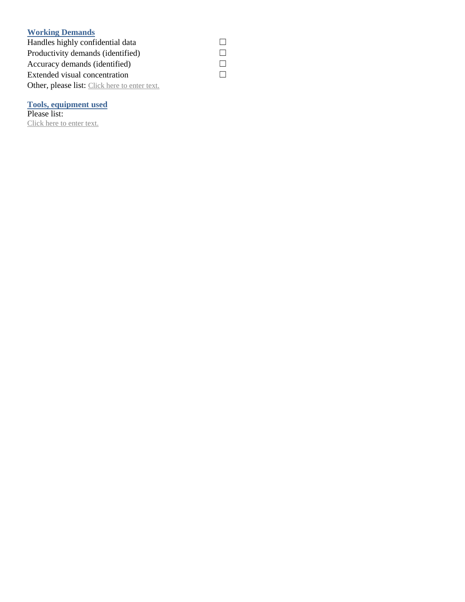# **Working Demands**

Handles highly confidential data  $□$ <br>Productivity demands (identified)  $□$ Productivity demands (identified)  $□$ <br>Accuracy demands (identified)  $□$ Accuracy demands (identified)  $□$ <br>Extended visual concentration  $□$ Extended visual concentration Other, please list: Click here to enter text.

# **Tools, equipment used**

Please list: Click here to enter text.